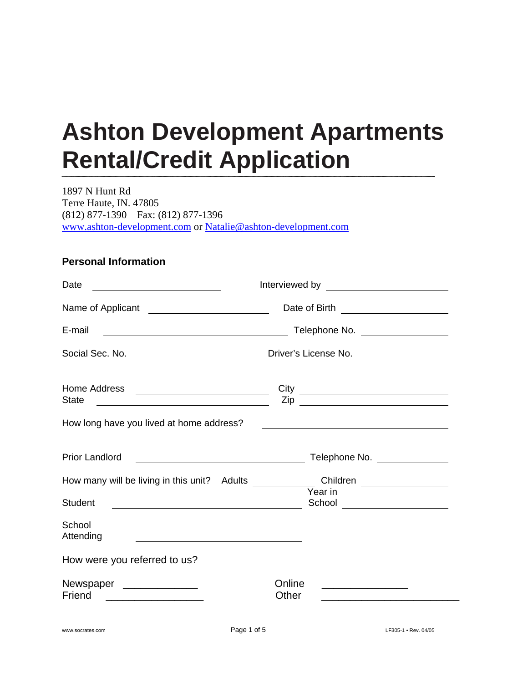# **Ashton Development Apartments Rental/Credit Application**

1897 N Hunt Rd Terre Haute, IN. 47805 (812) 877-1390 Fax: (812) 877-1396 [www.ashton-development.com](http://www.ashton-development.com/) or [Natalie@ashton-development.com](mailto:Natalie@ashton-development.com)

#### **Personal Information**

| Date                                                                                                                                          |                                                                                                                             |  |  |
|-----------------------------------------------------------------------------------------------------------------------------------------------|-----------------------------------------------------------------------------------------------------------------------------|--|--|
|                                                                                                                                               | Date of Birth ______________________                                                                                        |  |  |
| E-mail<br><u> 1989 - Johann Barn, mars ann an t-Amhair ann an t-Amhair an t-Amhair ann an t-Amhair an t-Amhair ann an t-A</u>                 | Telephone No. __________________                                                                                            |  |  |
| Social Sec. No.                                                                                                                               | Driver's License No. ____________________                                                                                   |  |  |
| Home Address<br><b>State</b><br><u> 2008 - Andrea Britain, amerikansk politik (d. 1878)</u>                                                   |                                                                                                                             |  |  |
| How long have you lived at home address?                                                                                                      | <u> 2000 - Jan James Barnett, fransk politik (d. 1878)</u>                                                                  |  |  |
| <b>Prior Landlord</b><br><u> 1980 - Johann Barn, mars ar breithinn ar breithinn ar breithinn ar breithinn ar breithinn ar breithinn ar br</u> | Telephone No. ______________                                                                                                |  |  |
| How many will be living in this unit? Adults _______________Children ____________                                                             | Year in                                                                                                                     |  |  |
| <b>Student</b>                                                                                                                                | School _____________________                                                                                                |  |  |
| School<br>Attending                                                                                                                           |                                                                                                                             |  |  |
| How were you referred to us?                                                                                                                  |                                                                                                                             |  |  |
| Newspaper ____________<br>Friend                                                                                                              | Online<br><u> 1990 - Johann Barn, mars ann an t-Amhair ann an t-A</u><br>Other<br><u> 1980 - Jan Barbara, manazarta da </u> |  |  |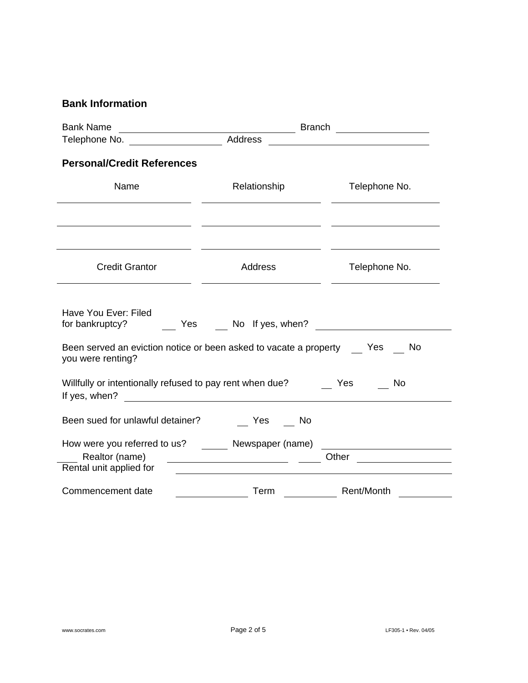### **Bank Information**

| <b>Bank Name</b>                                                                                                                                | <b>Branch</b>                                                                                                        |                                                       |  |
|-------------------------------------------------------------------------------------------------------------------------------------------------|----------------------------------------------------------------------------------------------------------------------|-------------------------------------------------------|--|
| Telephone No. ___________________                                                                                                               | Address                                                                                                              |                                                       |  |
| <b>Personal/Credit References</b>                                                                                                               |                                                                                                                      |                                                       |  |
| Name                                                                                                                                            | Relationship                                                                                                         | Telephone No.                                         |  |
|                                                                                                                                                 | <u> 1989 - Johann Stoff, amerikansk politiker (d. 1989)</u>                                                          | <u> 1989 - Johann Stein, fransk politik (d. 1989)</u> |  |
| <b>Credit Grantor</b>                                                                                                                           | Address                                                                                                              | Telephone No.                                         |  |
| Have You Ever: Filed<br>for bankruptcy?<br>Yes<br>Been served an eviction notice or been asked to vacate a property Yes No<br>you were renting? |                                                                                                                      |                                                       |  |
| Willfully or intentionally refused to pay rent when due?<br>If yes, when?                                                                       | <u> 1980 - Jan Samuel Barbara, martin da shekara 1980 - An tsara 1980 - An tsara 1980 - An tsara 1980 - An tsara</u> | Yes<br>No                                             |  |
| Been sued for unlawful detainer?                                                                                                                | Yes<br>No                                                                                                            |                                                       |  |
| How were you referred to us? Newspaper (name)<br>Realtor (name)<br>Rental unit applied for                                                      | <u> 1989 - Johann Barn, fransk politik (f. 1918)</u>                                                                 | Other __________________                              |  |
| Commencement date                                                                                                                               | Term                                                                                                                 | Rent/Month                                            |  |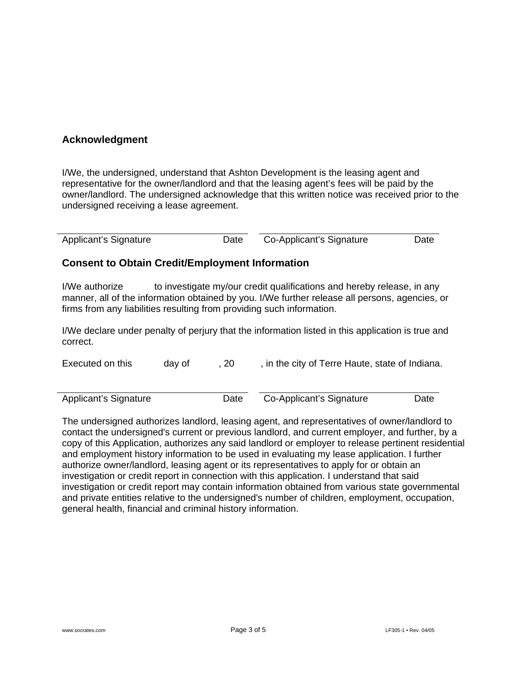#### **Acknowledgment**

I/We, the undersigned, understand that Ashton Development is the leasing agent and representative for the owner/landlord and that the leasing agent's fees will be paid by the owner/landlord. The undersigned acknowledge that this written notice was received prior to the undersigned receiving a lease agreement.

| <b>Applicant's Signature</b> | Date | Co-Applicant's Signature | Date |
|------------------------------|------|--------------------------|------|
|                              |      |                          |      |

#### **Consent to Obtain Credit/Employment Information**

I/We authorize to investigate my/our credit qualifications and hereby release, in any manner, all of the information obtained by you. I/We further release all persons, agencies, or firms from any liabilities resulting from providing such information.

I/We declare under penalty of perjury that the information listed in this application is true and correct.

| Executed on this      | dav of | -20  | , in the city of Terre Haute, state of Indiana. |      |
|-----------------------|--------|------|-------------------------------------------------|------|
|                       |        |      |                                                 |      |
| Applicant's Signature |        | Date | Co-Applicant's Signature                        | Date |

The undersigned authorizes landlord, leasing agent, and representatives of owner/landlord to contact the undersigned's current or previous landlord, and current employer, and further, by a copy of this Application, authorizes any said landlord or employer to release pertinent residential and employment history information to be used in evaluating my lease application. I further authorize owner/landlord, leasing agent or its representatives to apply for or obtain an investigation or credit report in connection with this application. I understand that said investigation or credit report may contain information obtained from various state governmental and private entities relative to the undersigned's number of children, employment, occupation, general health, financial and criminal history information.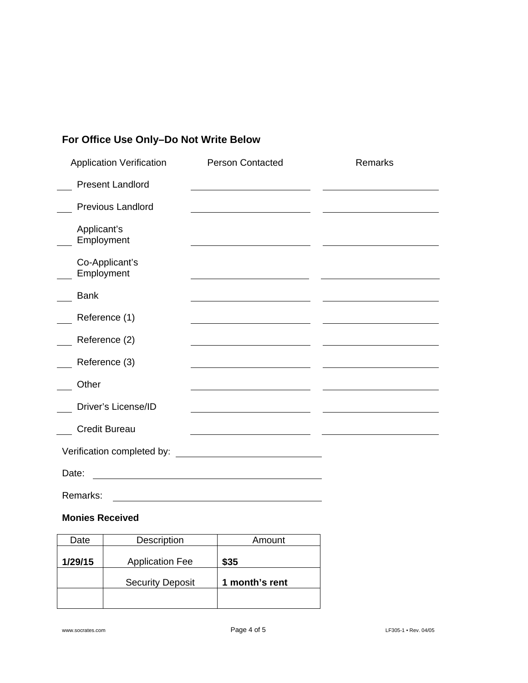## **For Office Use Only–Do Not Write Below**

| <b>Application Verification</b> | <b>Person Contacted</b>                                     | Remarks |
|---------------------------------|-------------------------------------------------------------|---------|
| <b>Present Landlord</b>         |                                                             |         |
| <b>Previous Landlord</b>        |                                                             |         |
| Applicant's<br>Employment       |                                                             |         |
| Co-Applicant's<br>Employment    |                                                             |         |
| <b>Bank</b>                     |                                                             |         |
| Reference (1)                   |                                                             |         |
| Reference (2)                   |                                                             |         |
| Reference (3)                   |                                                             |         |
| Other                           | the control of the control of the control of the control of |         |
| Driver's License/ID             |                                                             |         |
| <b>Credit Bureau</b>            |                                                             |         |
| Verification completed by:      |                                                             |         |
| Date:                           |                                                             |         |
| Remarks:                        |                                                             |         |

#### **Monies Received**

| Date    | Description             | Amount         |
|---------|-------------------------|----------------|
| 1/29/15 | <b>Application Fee</b>  | \$35           |
|         | <b>Security Deposit</b> | 1 month's rent |
|         |                         |                |